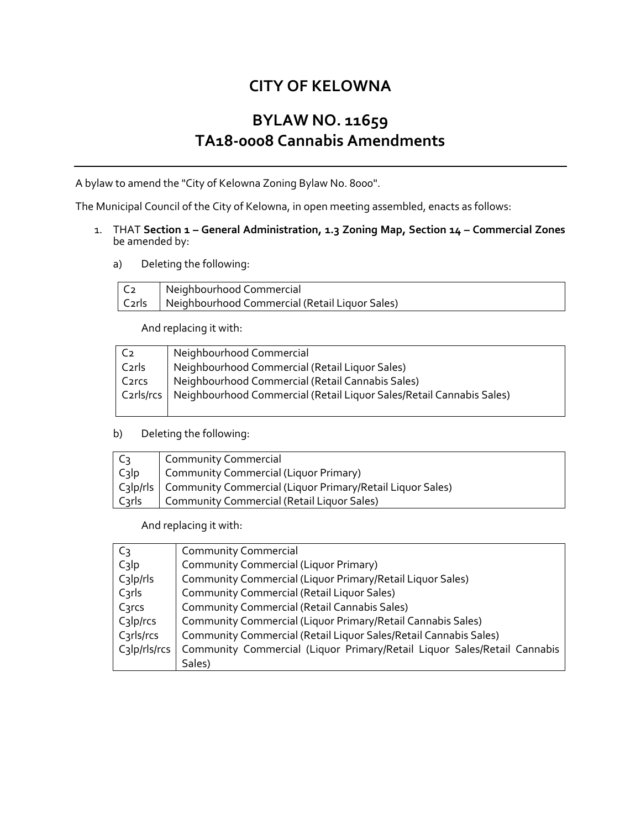# **CITY OF KELOWNA**

# **BYLAW NO. 11659 TA18-0008 Cannabis Amendments**

A bylaw to amend the "City of Kelowna Zoning Bylaw No. 8000".

The Municipal Council of the City of Kelowna, in open meeting assembled, enacts as follows:

- 1. THAT **Section 1 – General Administration, 1.3 Zoning Map, Section 14 – Commercial Zones** be amended by:
	- a) Deleting the following:

|                   | Neighbourhood Commercial                       |
|-------------------|------------------------------------------------|
| $\mathsf{Cz}$ rls | Neighbourhood Commercial (Retail Liquor Sales) |

And replacing it with:

| C <sub>2</sub>     | Neighbourhood Commercial                                                         |
|--------------------|----------------------------------------------------------------------------------|
| C2rls              | Neighbourhood Commercial (Retail Liquor Sales)                                   |
| C <sub>2</sub> rcs | Neighbourhood Commercial (Retail Cannabis Sales)                                 |
|                    | C2rls/rcs   Neighbourhood Commercial (Retail Liguor Sales/Retail Cannabis Sales) |
|                    |                                                                                  |

### b) Deleting the following:

| $ C_3 $            | Community Commercial                                                 |
|--------------------|----------------------------------------------------------------------|
| $\mathsf{C}_3$ lp  | Community Commercial (Liquor Primary)                                |
|                    | C3lp/rls   Community Commercial (Liquor Primary/Retail Liquor Sales) |
| C <sub>3</sub> rls | Community Commercial (Retail Liquor Sales)                           |

And replacing it with:

| $C_3$               | <b>Community Commercial</b>                                              |
|---------------------|--------------------------------------------------------------------------|
| $C_3$ <sub>lp</sub> | Community Commercial (Liquor Primary)                                    |
| $C_3$  p/rls        | Community Commercial (Liquor Primary/Retail Liquor Sales)                |
| $C3$ rls            | <b>Community Commercial (Retail Liquor Sales)</b>                        |
| C3rcs               | <b>Community Commercial (Retail Cannabis Sales)</b>                      |
| $C_3$  p/rcs        | Community Commercial (Liquor Primary/Retail Cannabis Sales)              |
| C3rls/rcs           | Community Commercial (Retail Liquor Sales/Retail Cannabis Sales)         |
| $C_3$  p/rls/rcs    | Community Commercial (Liquor Primary/Retail Liquor Sales/Retail Cannabis |
|                     | Sales)                                                                   |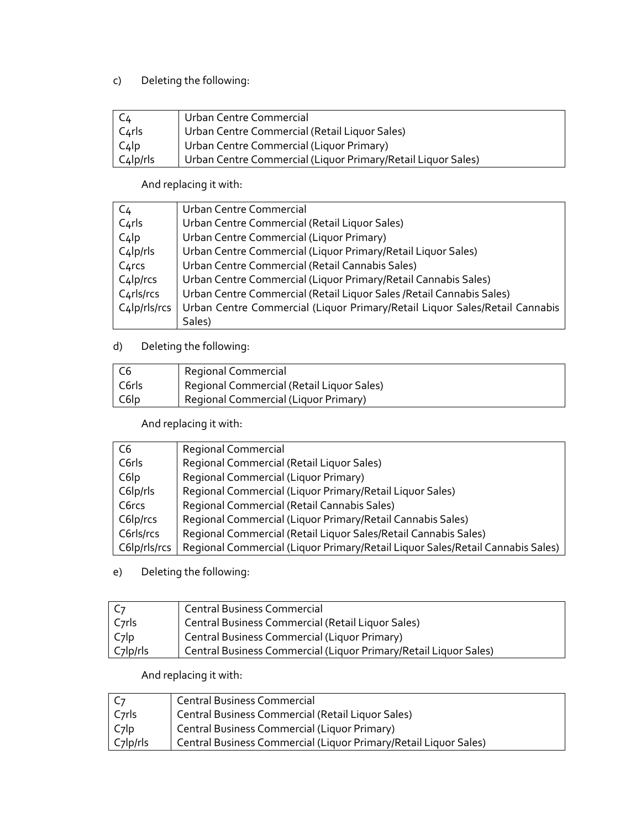### c) Deleting the following:

| $\mathsf{C}_4$          | Urban Centre Commercial                                      |
|-------------------------|--------------------------------------------------------------|
| $C4$ rls                | Urban Centre Commercial (Retail Liquor Sales)                |
| $\lfloor C_4 \rfloor p$ | Urban Centre Commercial (Liquor Primary)                     |
| $C_4$ lp/rls            | Urban Centre Commercial (Liquor Primary/Retail Liquor Sales) |

### And replacing it with:

| C <sub>4</sub>     | Urban Centre Commercial                                                     |
|--------------------|-----------------------------------------------------------------------------|
| $C_4$ rls          | Urban Centre Commercial (Retail Liquor Sales)                               |
| $C_4$              | Urban Centre Commercial (Liquor Primary)                                    |
| $C_4$ lp/rls       | Urban Centre Commercial (Liquor Primary/Retail Liquor Sales)                |
| C <sub>4</sub> rcs | Urban Centre Commercial (Retail Cannabis Sales)                             |
| $C_4$ lp/rcs       | Urban Centre Commercial (Liquor Primary/Retail Cannabis Sales)              |
| $C_4$ rls/rcs      | Urban Centre Commercial (Retail Liquor Sales / Retail Cannabis Sales)       |
| C4lp/rls/rcs       | Urban Centre Commercial (Liquor Primary/Retail Liquor Sales/Retail Cannabis |
|                    | Sales)                                                                      |

## d) Deleting the following:

| $\overline{C6}$ | Regional Commercial                       |
|-----------------|-------------------------------------------|
| C6rls           | Regional Commercial (Retail Liquor Sales) |
| C6lp            | Regional Commercial (Liguor Primary)      |

## And replacing it with:

| C6           | Regional Commercial                                                            |
|--------------|--------------------------------------------------------------------------------|
| C6rls        | Regional Commercial (Retail Liquor Sales)                                      |
| C6lp         | Regional Commercial (Liquor Primary)                                           |
| C6lp/rls     | Regional Commercial (Liquor Primary/Retail Liquor Sales)                       |
| C6rcs        | Regional Commercial (Retail Cannabis Sales)                                    |
| C6lp/rcs     | Regional Commercial (Liquor Primary/Retail Cannabis Sales)                     |
| C6rls/rcs    | Regional Commercial (Retail Liquor Sales/Retail Cannabis Sales)                |
| C6lp/rls/rcs | Regional Commercial (Liquor Primary/Retail Liquor Sales/Retail Cannabis Sales) |

e) Deleting the following:

| - C7               | <b>Central Business Commercial</b>                               |
|--------------------|------------------------------------------------------------------|
| C <sub>7</sub> rls | Central Business Commercial (Retail Liquor Sales)                |
| C <sub>7</sub> lp  | Central Business Commercial (Liquor Primary)                     |
| C7lp/rls           | Central Business Commercial (Liquor Primary/Retail Liquor Sales) |

# And replacing it with:

| C <sub>7</sub>    | <b>Central Business Commercial</b>                               |
|-------------------|------------------------------------------------------------------|
| Cyrls             | Central Business Commercial (Retail Liquor Sales)                |
| C <sub>7</sub>  p | Central Business Commercial (Liquor Primary)                     |
| $C7$ lp/rls       | Central Business Commercial (Liquor Primary/Retail Liquor Sales) |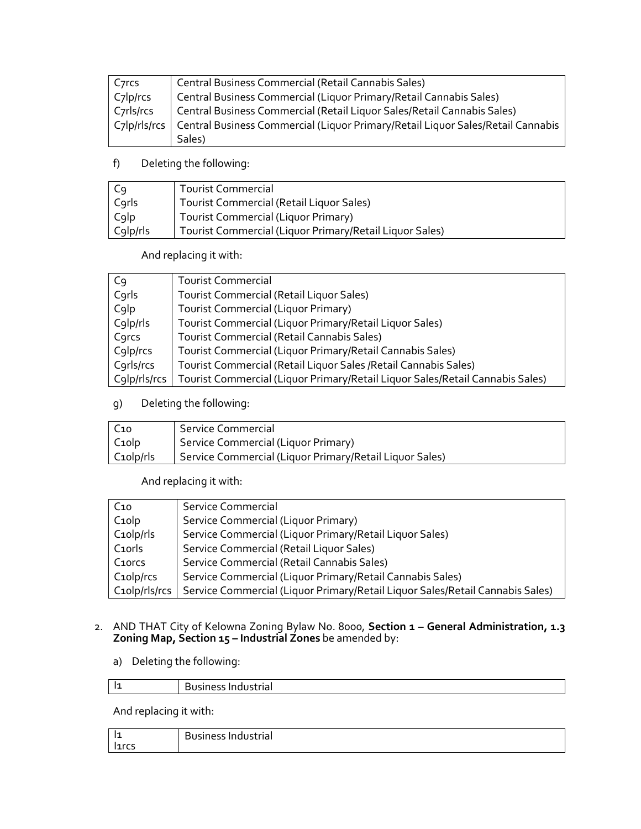| C <sub>7</sub> rcs     | Central Business Commercial (Retail Cannabis Sales)                             |
|------------------------|---------------------------------------------------------------------------------|
| C <sub>7</sub> lp/rcs  | Central Business Commercial (Liquor Primary/Retail Cannabis Sales)              |
| C <sub>7</sub> rls/rcs | Central Business Commercial (Retail Liquor Sales/Retail Cannabis Sales)         |
| $C_7$ lp/rls/rcs       | Central Business Commercial (Liquor Primary/Retail Liquor Sales/Retail Cannabis |
|                        | Sales)                                                                          |

f) Deleting the following:

| C9       | <b>Tourist Commercial</b>                               |
|----------|---------------------------------------------------------|
| Corls    | Tourist Commercial (Retail Liquor Sales)                |
| Colp     | Tourist Commercial (Liquor Primary)                     |
| C9lp/rls | Tourist Commercial (Liquor Primary/Retail Liquor Sales) |

And replacing it with:

| C <sub>9</sub> | <b>Tourist Commercial</b>                                                     |
|----------------|-------------------------------------------------------------------------------|
| Corls          | Tourist Commercial (Retail Liquor Sales)                                      |
| Colp           | <b>Tourist Commercial (Liquor Primary)</b>                                    |
| C9lp/rls       | Tourist Commercial (Liquor Primary/Retail Liquor Sales)                       |
| Corcs          | Tourist Commercial (Retail Cannabis Sales)                                    |
| C9lp/rcs       | Tourist Commercial (Liquor Primary/Retail Cannabis Sales)                     |
| C9rls/rcs      | Tourist Commercial (Retail Liquor Sales / Retail Cannabis Sales)              |
| C9lp/rls/rcs   | Tourist Commercial (Liquor Primary/Retail Liquor Sales/Retail Cannabis Sales) |

g) Deleting the following:

| C <sub>10</sub>    | Service Commercial                                      |
|--------------------|---------------------------------------------------------|
| C <sub>1</sub> olp | Service Commercial (Liquor Primary)                     |
| $C_1$ olp/rls      | Service Commercial (Liquor Primary/Retail Liquor Sales) |

And replacing it with:

| $C_{10}$            | Service Commercial                                                            |
|---------------------|-------------------------------------------------------------------------------|
| $C_1$ olp           | Service Commercial (Liquor Primary)                                           |
| $C_1$ olp/rls       | Service Commercial (Liquor Primary/Retail Liquor Sales)                       |
| C <sub>1</sub> orls | Service Commercial (Retail Liquor Sales)                                      |
| C <sub>1</sub> orcs | Service Commercial (Retail Cannabis Sales)                                    |
| $C_1$ olp/rcs       | Service Commercial (Liquor Primary/Retail Cannabis Sales)                     |
| C10lp/rls/rcs       | Service Commercial (Liquor Primary/Retail Liquor Sales/Retail Cannabis Sales) |

- 2. AND THAT City of Kelowna Zoning Bylaw No. 8000, **Section 1 – General Administration, 1.3 Zoning Map, Section 15 – Industrial Zones** be amended by:
	- a) Deleting the following:

| I1 | iluusti lai<br>יייי ככטיייכט ש |
|----|--------------------------------|
|    |                                |

And replacing it with:

| .          | -<br>Business Industrial |
|------------|--------------------------|
| larcc<br>. |                          |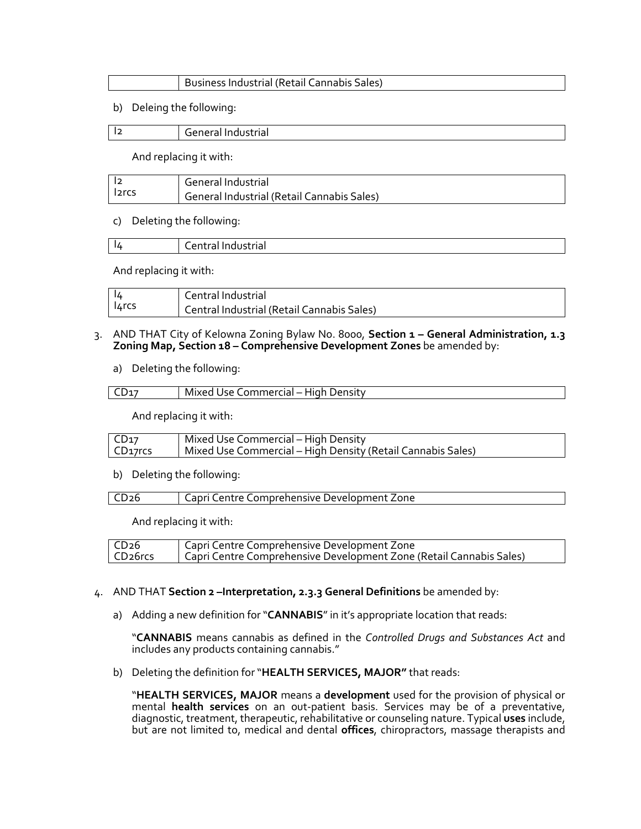| Business Industrial (Retail Cannabis Sales) |
|---------------------------------------------|
|---------------------------------------------|

b) Deleing the following:

| l2 | General Industrial |
|----|--------------------|
|    |                    |

And replacing it with:

|                    | General Industrial                         |
|--------------------|--------------------------------------------|
| l <sub>2</sub> rcs | General Industrial (Retail Cannabis Sales) |

#### c) Deleting the following:

| -14 | .<br>.<br>-----<br>iti di muustrial<br>. |
|-----|------------------------------------------|
|     |                                          |

And replacing it with:

|       | Central Industrial                         |
|-------|--------------------------------------------|
| 14rcs | Central Industrial (Retail Cannabis Sales) |

- 3. AND THAT City of Kelowna Zoning Bylaw No. 8000, **Section 1 – General Administration, 1.3 Zoning Map, Section 18 – Comprehensive Development Zones** be amended by:
	- a) Deleting the following:

| _ommercial – ' '<br>Mixed .<br>· High<br>Density<br>JSP. |
|----------------------------------------------------------|
|                                                          |

And replacing it with:

| CD <sub>17</sub>     | Mixed Use Commercial – High Density                         |
|----------------------|-------------------------------------------------------------|
| CD <sub>17</sub> rcs | Mixed Use Commercial – High Density (Retail Cannabis Sales) |

b) Deleting the following:

|  | Capri Centre Comprehensive Development Zone |
|--|---------------------------------------------|
|--|---------------------------------------------|

And replacing it with:

| CD <sub>26</sub>     | Capri Centre Comprehensive Development Zone                         |
|----------------------|---------------------------------------------------------------------|
| CD <sub>26</sub> rcs | Capri Centre Comprehensive Development Zone (Retail Cannabis Sales) |

- 4. AND THAT **Section 2 –Interpretation, 2.3.3 General Definitions** be amended by:
	- a) Adding a new definition for "**CANNABIS**" in it's appropriate location that reads:

"**CANNABIS** means cannabis as defined in the *Controlled Drugs and Substances Act* and includes any products containing cannabis."

b) Deleting the definition for "**HEALTH SERVICES, MAJOR"** that reads:

"**HEALTH SERVICES, MAJOR** means a **development** used for the provision of physical or mental **health services** on an out-patient basis. Services may be of a preventative, diagnostic, treatment, therapeutic, rehabilitative or counseling nature. Typical **uses** include, but are not limited to, medical and dental **offices**, chiropractors, massage therapists and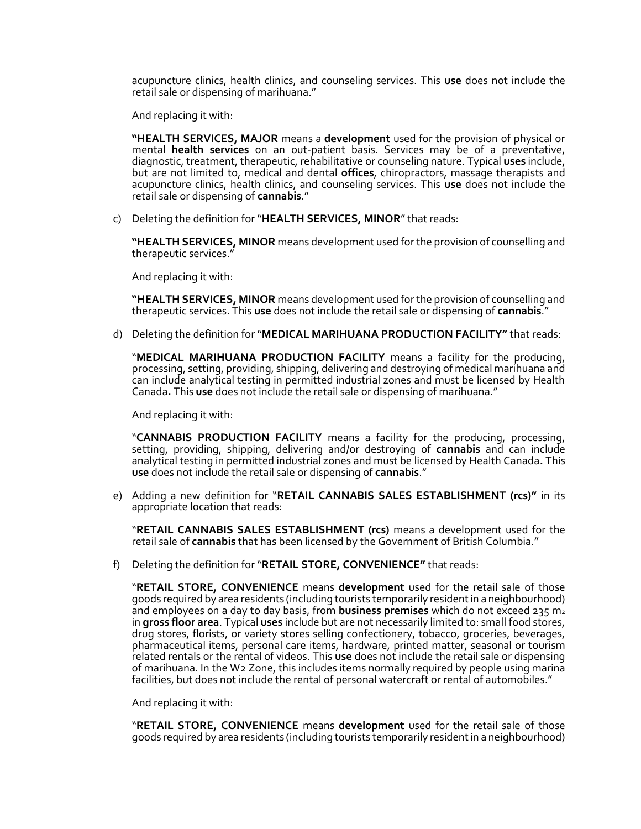acupuncture clinics, health clinics, and counseling services. This **use** does not include the retail sale or dispensing of marihuana."

And replacing it with:

**"HEALTH SERVICES, MAJOR** means a **development** used for the provision of physical or mental **health services** on an out-patient basis. Services may be of a preventative, diagnostic, treatment, therapeutic, rehabilitative or counseling nature. Typical **uses** include, but are not limited to, medical and dental **offices**, chiropractors, massage therapists and acupuncture clinics, health clinics, and counseling services. This **use** does not include the retail sale or dispensing of **cannabis**."

c) Deleting the definition for "**HEALTH SERVICES, MINOR**" that reads:

**"HEALTH SERVICES, MINOR** means development used for the provision of counselling and therapeutic services."

And replacing it with:

**"HEALTH SERVICES, MINOR** means development used for the provision of counselling and therapeutic services. This **use** does not include the retail sale or dispensing of **cannabis**."

d) Deleting the definition for "**MEDICAL MARIHUANA PRODUCTION FACILITY"** that reads:

"**MEDICAL MARIHUANA PRODUCTION FACILITY** means a facility for the producing, processing, setting, providing, shipping, delivering and destroying of medical marihuana and can include analytical testing in permitted industrial zones and must be licensed by Health Canada**.** This **use** does not include the retail sale or dispensing of marihuana."

And replacing it with:

"**CANNABIS PRODUCTION FACILITY** means a facility for the producing, processing, setting, providing, shipping, delivering and/or destroying of **cannabis** and can include analytical testing in permitted industrial zones and must be licensed by Health Canada**.** This **use** does not include the retail sale or dispensing of **cannabis**."

e) Adding a new definition for "**RETAIL CANNABIS SALES ESTABLISHMENT (rcs)"** in its appropriate location that reads:

"**RETAIL CANNABIS SALES ESTABLISHMENT (rcs)** means a development used for the retail sale of **cannabis** that has been licensed by the Government of British Columbia."

f) Deleting the definition for "**RETAIL STORE, CONVENIENCE"** that reads:

"**RETAIL STORE, CONVENIENCE** means **development** used for the retail sale of those goods required by area residents (including tourists temporarily resident in a neighbourhood) and employees on a day to day basis, from **business premises** which do not exceed 235 m<sup>2</sup> in **gross floor area**. Typical **uses** include but are not necessarily limited to: small food stores, drug stores, florists, or variety stores selling confectionery, tobacco, groceries, beverages, pharmaceutical items, personal care items, hardware, printed matter, seasonal or tourism related rentals or the rental of videos. This **use** does not include the retail sale or dispensing of marihuana. In the W2 Zone, this includes items normally required by people using marina facilities, but does not include the rental of personal watercraft or rental of automobiles."

And replacing it with:

"**RETAIL STORE, CONVENIENCE** means **development** used for the retail sale of those goods required by area residents (including tourists temporarily resident in a neighbourhood)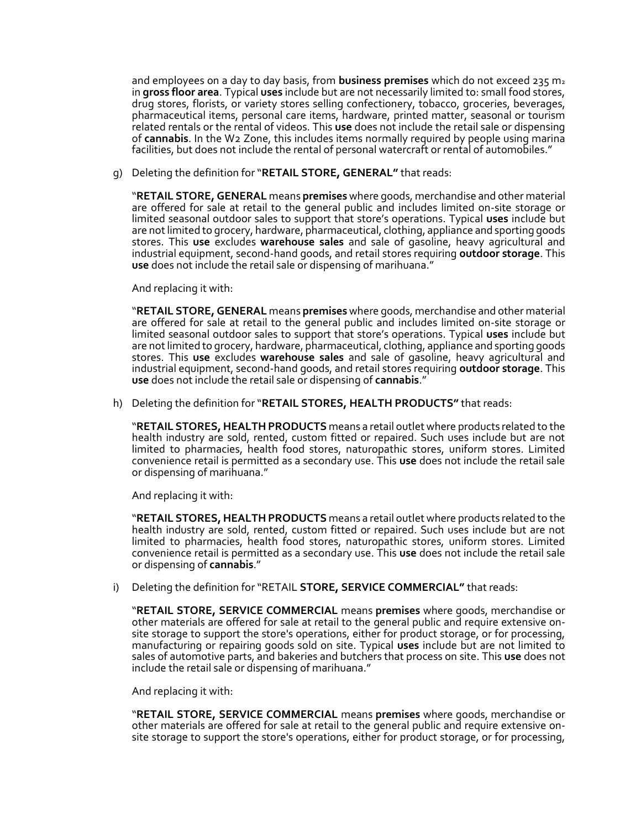and employees on a day to day basis, from **business premises** which do not exceed 235 m<sup>2</sup> in **gross floor area**. Typical **uses** include but are not necessarily limited to: small food stores, drug stores, florists, or variety stores selling confectionery, tobacco, groceries, beverages, pharmaceutical items, personal care items, hardware, printed matter, seasonal or tourism related rentals or the rental of videos. This **use** does not include the retail sale or dispensing of **cannabis**. In the W2 Zone, this includes items normally required by people using marina facilities, but does not include the rental of personal watercraft or rental of automobiles."

g) Deleting the definition for "**RETAIL STORE, GENERAL"** that reads:

"**RETAIL STORE, GENERAL** means **premises** where goods, merchandise and other material are offered for sale at retail to the general public and includes limited on-site storage or limited seasonal outdoor sales to support that store's operations. Typical **uses** include but are not limited to grocery, hardware, pharmaceutical, clothing, appliance and sporting goods stores. This **use** excludes **warehouse sales** and sale of gasoline, heavy agricultural and industrial equipment, second-hand goods, and retail stores requiring **outdoor storage**. This **use** does not include the retail sale or dispensing of marihuana."

And replacing it with:

"**RETAIL STORE, GENERAL** means **premises** where goods, merchandise and other material are offered for sale at retail to the general public and includes limited on-site storage or limited seasonal outdoor sales to support that store's operations. Typical **uses** include but are not limited to grocery, hardware, pharmaceutical, clothing, appliance and sporting goods stores. This **use** excludes **warehouse sales** and sale of gasoline, heavy agricultural and industrial equipment, second-hand goods, and retail stores requiring **outdoor storage**. This **use** does not include the retail sale or dispensing of **cannabis**."

h) Deleting the definition for "**RETAIL STORES, HEALTH PRODUCTS"** that reads:

"**RETAIL STORES, HEALTH PRODUCTS** means a retail outlet where products related to the health industry are sold, rented, custom fitted or repaired. Such uses include but are not limited to pharmacies, health food stores, naturopathic stores, uniform stores. Limited convenience retail is permitted as a secondary use. This **use** does not include the retail sale or dispensing of marihuana."

And replacing it with:

"**RETAIL STORES, HEALTH PRODUCTS** means a retail outlet where products related to the health industry are sold, rented, custom fitted or repaired. Such uses include but are not limited to pharmacies, health food stores, naturopathic stores, uniform stores. Limited convenience retail is permitted as a secondary use. This **use** does not include the retail sale or dispensing of **cannabis**."

i) Deleting the definition for "RETAIL **STORE, SERVICE COMMERCIAL"** that reads:

"**RETAIL STORE, SERVICE COMMERCIAL** means **premises** where goods, merchandise or other materials are offered for sale at retail to the general public and require extensive onsite storage to support the store's operations, either for product storage, or for processing, manufacturing or repairing goods sold on site. Typical **uses** include but are not limited to sales of automotive parts, and bakeries and butchers that process on site. This **use** does not include the retail sale or dispensing of marihuana."

And replacing it with:

"**RETAIL STORE, SERVICE COMMERCIAL** means **premises** where goods, merchandise or other materials are offered for sale at retail to the general public and require extensive onsite storage to support the store's operations, either for product storage, or for processing,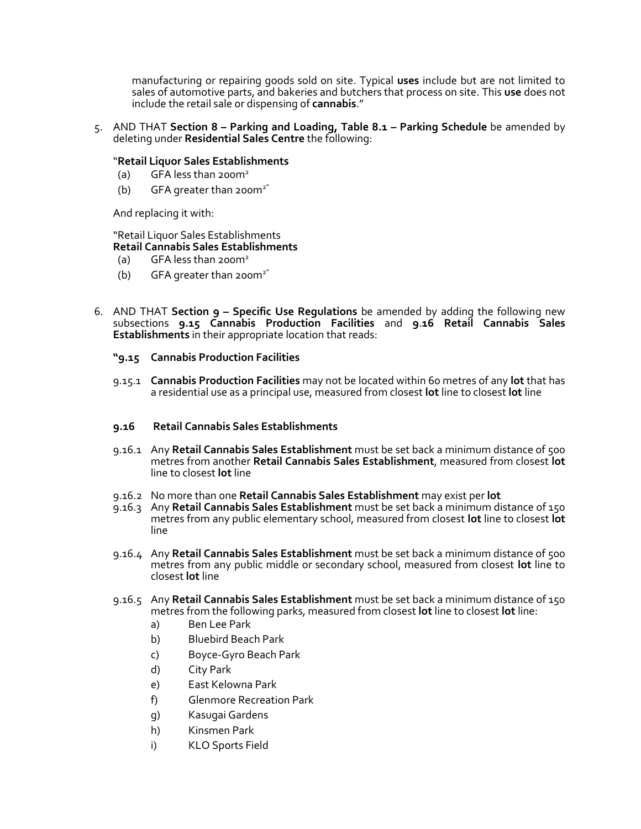manufacturing or repairing goods sold on site. Typical **uses** include but are not limited to sales of automotive parts, and bakeries and butchers that process on site. This **use** does not include the retail sale or dispensing of **cannabis**."

5. AND THAT **Section 8 – Parking and Loading, Table 8.1 – Parking Schedule** be amended by deleting under **Residential Sales Centre** the following:

#### "**Retail Liquor Sales Establishments**

- (a) GFA less than  $200m^2$
- (b) GFA greater than  $200m^{2}$

And replacing it with:

### "Retail Liquor Sales Establishments **Retail Cannabis Sales Establishments**

- (a) GFA less than 200 $m<sup>2</sup>$
- (b) GFA greater than  $200m^{2}$
- 6. AND THAT **Section 9 – Specific Use Regulations** be amended by adding the following new subsections **9.15 Cannabis Production Facilities** and **9**.**16 Retail Cannabis Sales Establishments** in their appropriate location that reads:
	- **"9.15 Cannabis Production Facilities**
	- 9.15.1 **Cannabis Production Facilities** may not be located within 60 metres of any **lot** that has a residential use as a principal use, measured from closest **lot** line to closest **lot** line

#### **9.16 Retail Cannabis Sales Establishments**

- 9.16.1 Any **Retail Cannabis Sales Establishment** must be set back a minimum distance of 500 metres from another **Retail Cannabis Sales Establishment**, measured from closest **lot**  line to closest **lot** line
- 9.16.2 No more than one **Retail Cannabis Sales Establishment** may exist per **lot**
- 9.16.3 Any **Retail Cannabis Sales Establishment** must be set back a minimum distance of 150 metres from any public elementary school, measured from closest **lot** line to closest **lot**  line
- 9.16.4 Any **Retail Cannabis Sales Establishment** must be set back a minimum distance of 500 metres from any public middle or secondary school, measured from closest **lot** line to closest **lot** line
- 9.16.5 Any **Retail Cannabis Sales Establishment** must be set back a minimum distance of 150 metres from the following parks, measured from closest **lot** line to closest **lot** line:
	- a) Ben Lee Park
	- b) Bluebird Beach Park
	- c) Boyce-Gyro Beach Park
	- d) City Park
	- e) East Kelowna Park
	- f) Glenmore Recreation Park
	- g) Kasugai Gardens
	- h) Kinsmen Park
	- i) KLO Sports Field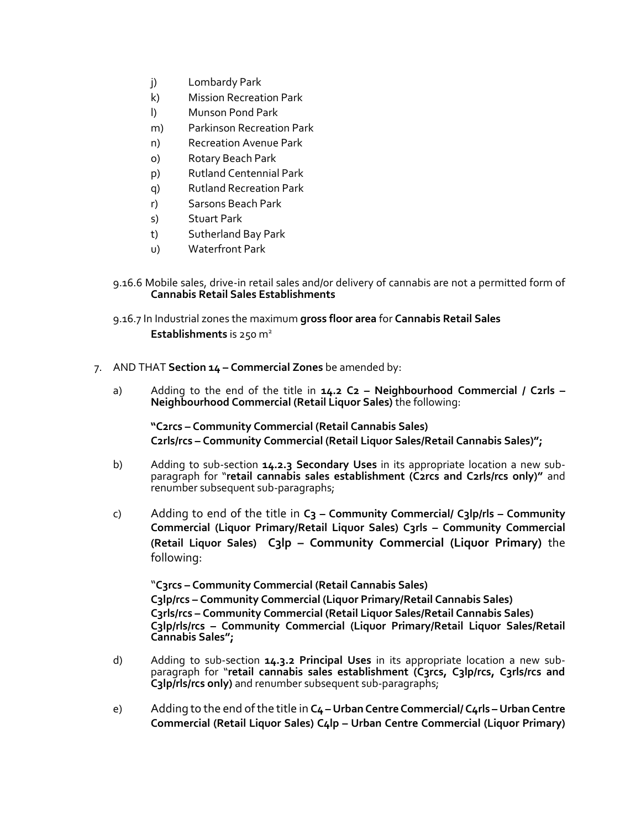- j) Lombardy Park
- k) Mission Recreation Park
- l) Munson Pond Park
- m) Parkinson Recreation Park
- n) Recreation Avenue Park
- o) Rotary Beach Park
- p) Rutland Centennial Park
- q) Rutland Recreation Park
- r) Sarsons Beach Park
- s) Stuart Park
- t) Sutherland Bay Park
- u) Waterfront Park
- 9.16.6 Mobile sales, drive-in retail sales and/or delivery of cannabis are not a permitted form of **Cannabis Retail Sales Establishments**
- 9.16.7 In Industrial zones the maximum **gross floor area** for **Cannabis Retail Sales Establishments** is 250 m<sup>2</sup>
- 7. AND THAT **Section 14 – Commercial Zones** be amended by:
	- a) Adding to the end of the title in **14.2 C2 – Neighbourhood Commercial / C2rls – Neighbourhood Commercial (Retail Liquor Sales)** the following:

**"C2rcs – Community Commercial (Retail Cannabis Sales) C2rls/rcs – Community Commercial (Retail Liquor Sales/Retail Cannabis Sales)";**

- b) Adding to sub-section **14.2.3 Secondary Uses** in its appropriate location a new subparagraph for "**retail cannabis sales establishment (C2rcs and C2rls/rcs only)"** and renumber subsequent sub-paragraphs;
- c) Adding to end of the title in **C3 – Community Commercial/ C3lp/rls – Community Commercial (Liquor Primary/Retail Liquor Sales) C3rls – Community Commercial (Retail Liquor Sales) C3lp – Community Commercial (Liquor Primary)** the following:

"**C3rcs – Community Commercial (Retail Cannabis Sales) C3lp/rcs – Community Commercial (Liquor Primary/Retail Cannabis Sales) C3rls/rcs – Community Commercial (Retail Liquor Sales/Retail Cannabis Sales) C3lp/rls/rcs – Community Commercial (Liquor Primary/Retail Liquor Sales/Retail Cannabis Sales";**

- d) Adding to sub-section **14.3.2 Principal Uses** in its appropriate location a new subparagraph for "**retail cannabis sales establishment (C3rcs, C3lp/rcs, C3rls/rcs and C3lp/rls/rcs only)** and renumber subsequent sub-paragraphs;
- e) Adding to the end of the title in **C4 – Urban Centre Commercial/ C4rls – Urban Centre Commercial (Retail Liquor Sales) C4lp – Urban Centre Commercial (Liquor Primary)**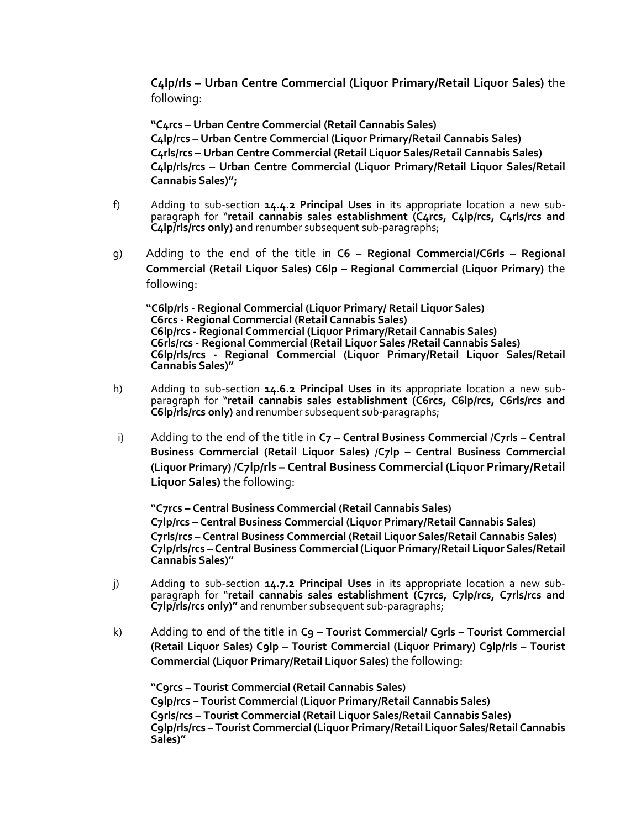**C4lp/rls – Urban Centre Commercial (Liquor Primary/Retail Liquor Sales)** the following:

**"C4rcs – Urban Centre Commercial (Retail Cannabis Sales) C4lp/rcs – Urban Centre Commercial (Liquor Primary/Retail Cannabis Sales) C4rls/rcs – Urban Centre Commercial (Retail Liquor Sales/Retail Cannabis Sales) C4lp/rls/rcs – Urban Centre Commercial (Liquor Primary/Retail Liquor Sales/Retail Cannabis Sales)";**

- f) Adding to sub-section **14.4.2 Principal Uses** in its appropriate location a new subparagraph for "**retail cannabis sales establishment (C4rcs, C4lp/rcs, C4rls/rcs and C4lp/rls/rcs only)** and renumber subsequent sub-paragraphs;
- g) Adding to the end of the title in **C6 – Regional Commercial/C6rls – Regional Commercial (Retail Liquor Sales) C6lp – Regional Commercial (Liquor Primary)** the following:

**"C6lp/rls - Regional Commercial (Liquor Primary/ Retail Liquor Sales) C6rcs - Regional Commercial (Retail Cannabis Sales) C6lp/rcs - Regional Commercial (Liquor Primary/Retail Cannabis Sales) C6rls/rcs - Regional Commercial (Retail Liquor Sales /Retail Cannabis Sales) C6lp/rls/rcs - Regional Commercial (Liquor Primary/Retail Liquor Sales/Retail Cannabis Sales)"**

- h) Adding to sub-section **14.6.2 Principal Uses** in its appropriate location a new subparagraph for "**retail cannabis sales establishment (C6rcs, C6lp/rcs, C6rls/rcs and C6lp/rls/rcs only)** and renumber subsequent sub-paragraphs;
- i) Adding to the end of the title in  $C_7$  **Central Business Commercial /C7rls Central Business Commercial (Retail Liquor Sales)** /**C7lp – Central Business Commercial (Liquor Primary)** /**C7lp/rls – Central Business Commercial (Liquor Primary/Retail Liquor Sales)** the following:

**"C7rcs – Central Business Commercial (Retail Cannabis Sales) C7lp/rcs – Central Business Commercial (Liquor Primary/Retail Cannabis Sales) C7rls/rcs – Central Business Commercial (Retail Liquor Sales/Retail Cannabis Sales) C7lp/rls/rcs – Central Business Commercial (Liquor Primary/Retail Liquor Sales/Retail Cannabis Sales)"**

- j) Adding to sub-section **14.7.2 Principal Uses** in its appropriate location a new subparagraph for "**retail cannabis sales establishment (C7rcs, C7lp/rcs, C7rls/rcs and C7lp/rls/rcs only)"** and renumber subsequent sub-paragraphs;
- k) Adding to end of the title in **C9 – Tourist Commercial/ C9rls – Tourist Commercial (Retail Liquor Sales) C9lp – Tourist Commercial (Liquor Primary) C9lp/rls – Tourist Commercial (Liquor Primary/Retail Liquor Sales)** the following:

**"C9rcs – Tourist Commercial (Retail Cannabis Sales) C9lp/rcs – Tourist Commercial (Liquor Primary/Retail Cannabis Sales) C9rls/rcs – Tourist Commercial (Retail Liquor Sales/Retail Cannabis Sales) C9lp/rls/rcs – Tourist Commercial (Liquor Primary/Retail Liquor Sales/Retail Cannabis Sales)"**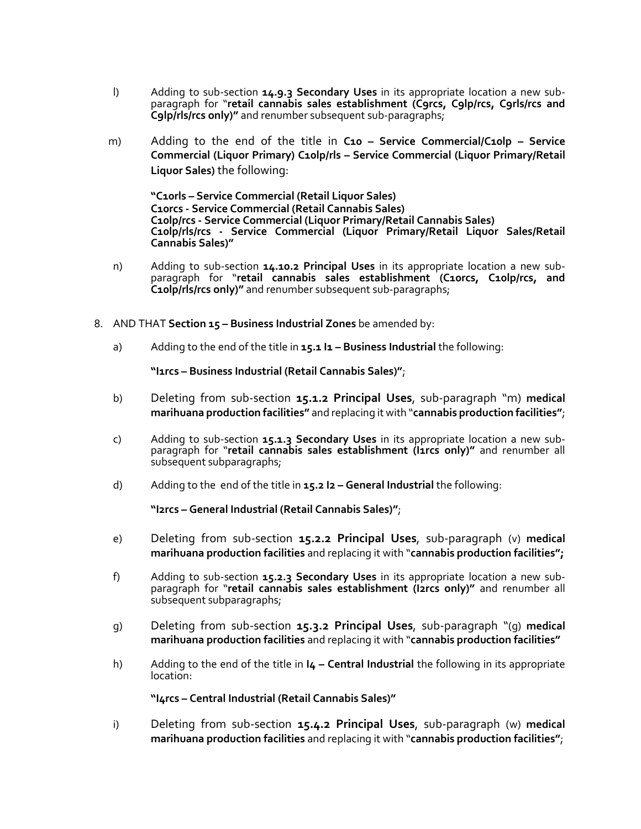- l) Adding to sub-section **14.9.3 Secondary Uses** in its appropriate location a new subparagraph for "**retail cannabis sales establishment (C9rcs, C9lp/rcs, C9rls/rcs and C9lp/rls/rcs only)"** and renumber subsequent sub-paragraphs;
- m) Adding to the end of the title in **C10 – Service Commercial/C10lp – Service Commercial (Liquor Primary) C10lp/rls – Service Commercial (Liquor Primary/Retail Liquor Sales)** the following:

**"C10rls – Service Commercial (Retail Liquor Sales) C10rcs - Service Commercial (Retail Cannabis Sales) C10lp/rcs - Service Commercial (Liquor Primary/Retail Cannabis Sales) C10lp/rls/rcs - Service Commercial (Liquor Primary/Retail Liquor Sales/Retail Cannabis Sales)"**

- n) Adding to sub-section **14.10.2 Principal Uses** in its appropriate location a new subparagraph for "**retail cannabis sales establishment (C10rcs, C10lp/rcs, and C10lp/rls/rcs only)"** and renumber subsequent sub-paragraphs;
- 8. AND THAT **Section 15 – Business Industrial Zones** be amended by:
	- a) Adding to the end of the title in **15.1 I1 – Business Industrial** the following:

**"I1rcs – Business Industrial (Retail Cannabis Sales)"**;

- b) Deleting from sub-section **15.1.2 Principal Uses**, sub-paragraph "m) **medical marihuana production facilities"** and replacing it with "**cannabis production facilities"**;
- c) Adding to sub-section **15.1.3 Secondary Uses** in its appropriate location a new subparagraph for "**retail cannabis sales establishment (I1rcs only)"** and renumber all subsequent subparagraphs;
- d) Adding to the end of the title in **15.2 I2 – General Industrial** the following:

**"I2rcs – General Industrial (Retail Cannabis Sales)"**;

- e) Deleting from sub-section **15.2.2 Principal Uses**, sub-paragraph (v) **medical marihuana production facilities** and replacing it with "**cannabis production facilities";**
- f) Adding to sub-section **15.2.3 Secondary Uses** in its appropriate location a new subparagraph for "**retail cannabis sales establishment (I2rcs only)"** and renumber all subsequent subparagraphs;
- g) Deleting from sub-section **15.3.2 Principal Uses**, sub-paragraph "(g) **medical marihuana production facilities** and replacing it with "**cannabis production facilities"**
- h) Adding to the end of the title in **I4 – Central Industrial** the following in its appropriate location:

**"I4rcs – Central Industrial (Retail Cannabis Sales)"**

i) Deleting from sub-section **15.4.2 Principal Uses**, sub-paragraph (w) **medical marihuana production facilities** and replacing it with "**cannabis production facilities"**;